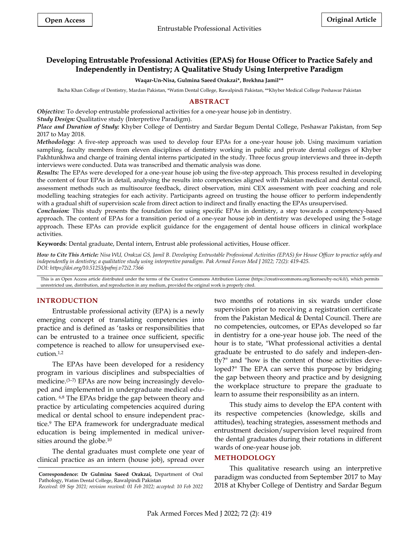# **Developing Entrustable Professional Activities (EPAS) for House Officer to Practice Safely and Independently in Dentistry; A Qualitative Study Using Interpretive Paradigm**

#### **Waqar-Un-Nisa, Gulmina Saeed Orakzai\*, Brekhna Jamil\*\***

Bacha Khan College of Dentistry, Mardan Pakistan, \*Watim Dental College, Rawalpindi Pakistan, \*\*Khyber Medical College Peshawar Pakistan

### **ABSTRACT**

*Objective:* To develop entrustable professional activities for a one-year house job in dentistry.

*Study Design:* Qualitative study (Interpretive Paradigm).

*Place and Duration of Study:* Khyber College of Dentistry and Sardar Begum Dental College, Peshawar Pakistan, from Sep 2017 to May 2018.

*Methodology:* A five-step approach was used to develop four EPAs for a one-year house job. Using maximum variation sampling, faculty members from eleven disciplines of dentistry working in public and private dental colleges of Khyber Pakhtunkhwa and charge of training dental interns participated in the study. Three focus group interviews and three in-depth interviews were conducted. Data was transcribed and thematic analysis was done.

*Results:* The EPAs were developed for a one-year house job using the five-step approach. This process resulted in developing the content of four EPAs in detail, analysing the results into competencies aligned with Pakistan medical and dental council, assessment methods such as multisource feedback, direct observation, mini CEX assessment with peer coaching and role modelling teaching strategies for each activity. Participants agreed on trusting the house officer to perform independently with a gradual shift of supervision scale from direct action to indirect and finally enacting the EPAs unsupervised.

*Conclusion:* This study presents the foundation for using specific EPAs in dentistry, a step towards a competency-based approach. The content of EPAs for a transition period of a one-year house job in dentistry was developed using the 5-stage approach. These EPAs can provide explicit guidance for the engagement of dental house officers in clinical workplace activities.

**Keywords**: Dental graduate, Dental intern, Entrust able professional activities, House officer.

*How to Cite This Article: Nisa WU, Orakzai GS, Jamil B. Developing Entrustable Professional Activities (EPAS) for House Officer to practice safely and independently in dentistry; a qualitative study using interpretive paradigm. Pak Armed Forces Med J 2022; 72(2): 419-425. DOI: https://doi.org/10.51253/pafmj.v72i2.7366*

This is an Open Access article distributed under the terms of the Creative Commons Attribution License (https://creativecommons.org/licenses/by-nc/4.0/), which permits unrestricted use, distribution, and reproduction in any medium, provided the original work is properly cited.

### **INTRODUCTION**

Entrustable professional activity (EPA) is a newly emerging concept of translating competencies into practice and is defined as 'tasks or responsibilities that can be entrusted to a trainee once sufficient, specific competence is reached to allow for unsupervised execution. 1,2

The EPAs have been developed for a residency program in various disciplines and subspecialties of medicine.(3–7) EPAs are now being increasingly developed and implemented in undergraduate medical education. 6,8 The EPAs bridge the gap between theory and practice by articulating competencies acquired during medical or dental school to ensure independent practice.<sup>9</sup> The EPA framework for undergraduate medical education is being implemented in medical universities around the globe.<sup>10</sup>

The dental graduates must complete one year of clinical practice as an intern (house job), spread over two months of rotations in six wards under close supervision prior to receiving a registration certificate from the Pakistan Medical & Dental Council. There are no competencies, outcomes, or EPAs developed so far in dentistry for a one-year house job. The need of the hour is to state, "What professional activities a dental graduate be entrusted to do safely and indepen-dently?" and "how is the content of those activities developed?" The EPA can serve this purpose by bridging the gap between theory and practice and by designing the workplace structure to prepare the graduate to learn to assume their responsibility as an intern.

This study aims to develop the EPA content with its respective competencies (knowledge, skills and attitudes), teaching strategies, assessment methods and entrustment decision/supervision level required from the dental graduates during their rotations in different wards of one-year house job.

### **METHODOLOGY**

This qualitative research using an interpretive paradigm was conducted from September 2017 to May 2018 at Khyber College of Dentistry and Sardar Begum

**Correspondence: Dr Gulmina Saeed Orakzai,** Department of Oral Pathology, Watim Dental College, Rawalpindi Pakistan *Received: 09 Sep 2021; revision received: 01 Feb 2022; accepted: 10 Feb 2022*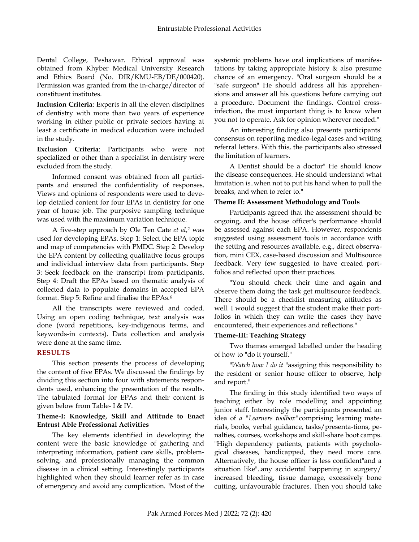Dental College, Peshawar. Ethical approval was obtained from Khyber Medical University Research and Ethics Board (No. DIR/KMU-EB/DE/000420). Permission was granted from the in-charge/director of constituent institutes.

**Inclusion Criteria**: Experts in all the eleven disciplines of dentistry with more than two years of experience working in either public or private sectors having at least a certificate in medical education were included in the study.

**Exclusion Criteria**: Participants who were not specialized or other than a specialist in dentistry were excluded from the study.

Informed consent was obtained from all participants and ensured the confidentiality of responses. Views and opinions of respondents were used to develop detailed content for four EPAs in dentistry for one year of house job. The purposive sampling technique was used with the maximum variation technique.

A five-step approach by Ole Ten Cate *et al*, <sup>2</sup> was used for developing EPAs. Step 1: Select the EPA topic and map of competencies with PMDC. Step 2: Develop the EPA content by collecting qualitative focus groups and individual interview data from participants. Step 3: Seek feedback on the transcript from participants. Step 4: Draft the EPAs based on thematic analysis of collected data to populate domains in accepted EPA format. Step 5: Refine and finalise the EPAs.<sup>6</sup>

All the transcripts were reviewed and coded. Using an open coding technique, text analysis was done (word repetitions, key-indigenous terms, and keywords-in contexts). Data collection and analysis were done at the same time.

### **RESULTS**

This section presents the process of developing the content of five EPAs. We discussed the findings by dividing this section into four with statements respondents used, enhancing the presentation of the results. The tabulated format for EPAs and their content is given below from Table- I & IV.

### **Theme-I: Knowledge, Skill and Attitude to Enact Entrust Able Professional Activities**

The key elements identified in developing the content were the basic knowledge of gathering and interpreting information, patient care skills, problemsolving, and professionally managing the common disease in a clinical setting. Interestingly participants highlighted when they should learner refer as in case of emergency and avoid any complication. "Most of the

systemic problems have oral implications of manifestations by taking appropriate history & also presume chance of an emergency. "Oral surgeon should be a "safe surgeon" He should address all his apprehensions and answer all his questions before carrying out a procedure. Document the findings. Control crossinfection, the most important thing is to know when you not to operate. Ask for opinion wherever needed."

An interesting finding also presents participants' consensus on reporting medico-legal cases and writing referral letters. With this, the participants also stressed the limitation of learners.

A Dentist should be a doctor" He should know the disease consequences. He should understand what limitation is..when not to put his hand when to pull the breaks, and when to refer to."

### **Theme II: Assessment Methodology and Tools**

Participants agreed that the assessment should be ongoing, and the house officer's performance should be assessed against each EPA. However, respondents suggested using assessment tools in accordance with the setting and resources available, e.g., direct observation, mini CEX, case-based discussion and Multisource feedback. Very few suggested to have created portfolios and reflected upon their practices.

"You should check their time and again and observe them doing the task get multisource feedback. There should be a checklist measuring attitudes as well. I would suggest that the student make their portfolios in which they can write the cases they have encountered, their experiences and reflections."

## **Theme-III: Teaching Strategy**

Two themes emerged labelled under the heading of how to "do it yourself."

"*Watch how I do it* "assigning this responsibility to the resident or senior house officer to observe, help and report."

The finding in this study identified two ways of teaching either by role modelling and appointing junior staff. Interestingly the participants presented an idea of *a "Learners toolbox"*comprising learning materials, books, verbal guidance, tasks/presenta-tions, penalties, courses, workshops and skill-share boot camps. "High dependency patients, patients with psychological diseases, handicapped, they need more care. Alternatively, the house officer is less confident"and a situation like"..any accidental happening in surgery/ increased bleeding, tissue damage, excessively bone cutting, unfavourable fractures. Then you should take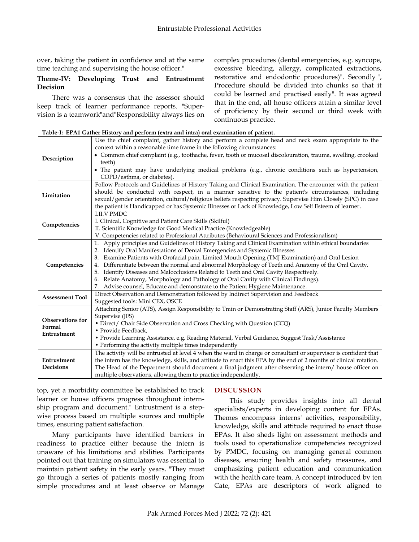over, taking the patient in confidence and at the same time teaching and supervising the house officer."

### **Theme-IV: Developing Trust and Entrustment Decision**

There was a consensus that the assessor should keep track of learner performance reports. "Supervision is a teamwork"and"Responsibility always lies on complex procedures (dental emergencies, e.g. syncope, excessive bleeding, allergy, complicated extractions, restorative and endodontic procedures)". Secondly ", Procedure should be divided into chunks so that it could be learned and practised easily". It was agreed that in the end, all house officers attain a similar level of proficiency by their second or third week with continuous practice.

| Description             | Use the chief complaint, gather history and perform a complete head and neck exam appropriate to the<br>context within a reasonable time frame in the following circumstances:                                          |
|-------------------------|-------------------------------------------------------------------------------------------------------------------------------------------------------------------------------------------------------------------------|
|                         | • Common chief complaint (e.g., toothache, fever, tooth or mucosal discolouration, trauma, swelling, crooked<br>teeth)                                                                                                  |
|                         | • The patient may have underlying medical problems (e.g., chronic conditions such as hypertension,                                                                                                                      |
|                         | COPD/asthma, or diabetes).                                                                                                                                                                                              |
|                         | Follow Protocols and Guidelines of History Taking and Clinical Examination. The encounter with the patient                                                                                                              |
| Limitation              | should be conducted with respect, in a manner sensitive to the patient's circumstances, including                                                                                                                       |
|                         | sexual/gender orientation, cultural/religious beliefs respecting privacy. Supervise Him Closely (SPC) in case<br>the patient is Handicapped or has Systemic Illnesses or Lack of Knowledge, Low Self Esteem of learner. |
|                         | <b>I.II.V PMDC</b>                                                                                                                                                                                                      |
|                         | I. Clinical, Cognitive and Patient Care Skills (Skilful)                                                                                                                                                                |
| Competencies            | II. Scientific Knowledge for Good Medical Practice (Knowledgeable)                                                                                                                                                      |
|                         | V. Competencies related to Professional Attributes (Behavioural Sciences and Professionalism)                                                                                                                           |
|                         | Apply principles and Guidelines of History Taking and Clinical Examination within ethical boundaries<br>1.                                                                                                              |
|                         | Identify Oral Manifestations of Dental Emergencies and Systemic Illnesses                                                                                                                                               |
|                         | Examine Patients with Orofacial pain, Limited Mouth Opening (TMJ Examination) and Oral Lesion<br>3.                                                                                                                     |
| Competencies            | 4. Differentiate between the normal and abnormal Morphology of Teeth and Anatomy of the Oral Cavity.                                                                                                                    |
|                         | Identify Diseases and Malocclusions Related to Teeth and Oral Cavity Respectively.<br>5.                                                                                                                                |
|                         | 6. Relate Anatomy, Morphology and Pathology of Oral Cavity with Clinical Findings).                                                                                                                                     |
|                         | 7. Advise counsel, Educate and demonstrate to the Patient Hygiene Maintenance.                                                                                                                                          |
| <b>Assessment Tool</b>  | Direct Observation and Demonstration followed by Indirect Supervision and Feedback<br>Suggested tools: Mini CEX, OSCE                                                                                                   |
|                         | Attaching Senior (ATS), Assign Responsibility to Train or Demonstrating Staff (ARS), Junior Faculty Members                                                                                                             |
|                         | Supervise (JFS)                                                                                                                                                                                                         |
| <b>Observations for</b> | • Direct/ Chair Side Observation and Cross Checking with Question (CCQ)                                                                                                                                                 |
| Formal<br>Entrustment   | • Provide Feedback.                                                                                                                                                                                                     |
|                         | • Provide Learning Assistance, e.g. Reading Material, Verbal Guidance, Suggest Task/Assistance                                                                                                                          |
|                         | • Performing the activity multiple times independently                                                                                                                                                                  |
|                         | The activity will be entrusted at level 4 when the ward in charge or consultant or supervisor is confident that                                                                                                         |
| Entrustment             | the intern has the knowledge, skills, and attitude to enact this EPA by the end of 2 months of clinical rotation.                                                                                                       |
| Decisions               | The Head of the Department should document a final judgment after observing the intern/ house officer on                                                                                                                |
|                         | multiple observations, allowing them to practice independently.                                                                                                                                                         |

|  |  |  |  | Table-I: EPA1 Gather History and perform (extra and intra) oral examination of patient. |  |
|--|--|--|--|-----------------------------------------------------------------------------------------|--|
|  |  |  |  |                                                                                         |  |

top, yet a morbidity committee be established to track learner or house officers progress throughout internship program and document." Entrustment is a stepwise process based on multiple sources and multiple times, ensuring patient satisfaction.

Many participants have identified barriers in readiness to practice either because the intern is unaware of his limitations and abilities. Participants pointed out that training on simulators was essential to maintain patient safety in the early years. "They must go through a series of patients mostly ranging from simple procedures and at least observe or Manage

### **DISCUSSION**

This study provides insights into all dental specialists/experts in developing content for EPAs. Themes encompass interns' activities, responsibility, knowledge, skills and attitude required to enact those EPAs. It also sheds light on assessment methods and tools used to operationalize competencies recognized by PMDC, focusing on managing general common diseases, ensuring health and safety measures, and emphasizing patient education and communication with the health care team. A concept introduced by ten Cate, EPAs are descriptors of work aligned to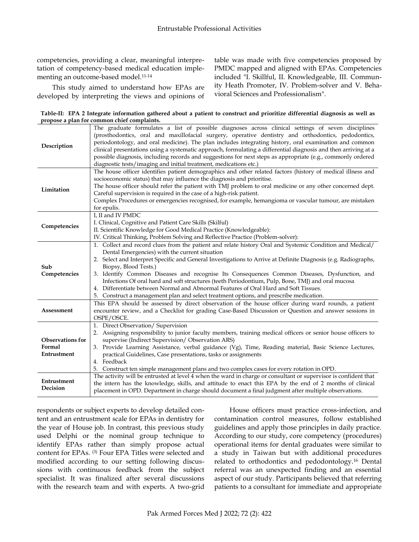competencies, providing a clear, meaningful interpretation of competency-based medical education implementing an outcome-based model.11-14

This study aimed to understand how EPAs are developed by interpreting the views and opinions of table was made with five competencies proposed by PMDC mapped and aligned with EPAs. Competencies included "I. Skillful, II. Knowledgeable, III. Community Heath Promoter, IV. Problem-solver and V. Behavioral Sciences and Professionalism".

**Table-II: EPA 2 Integrate information gathered about a patient to construct and prioritize differential diagnosis as well as propose a plan for common chief complaints.**

| Description                                      | The graduate formulates a list of possible diagnoses across clinical settings of seven disciplines<br>(prosthodontics, oral and maxillofacial surgery, operative dentistry and orthodontics, pedodontics,<br>periodontology, and oral medicine). The plan includes integrating history, oral examination and common<br>clinical presentations using a systematic approach, formulating a differential diagnosis and then arriving at a<br>possible diagnosis, including records and suggestions for next steps as appropriate (e.g., commonly ordered<br>diagnostic tests/imaging and initial treatment, medications etc.)                                                                   |  |  |  |  |  |
|--------------------------------------------------|----------------------------------------------------------------------------------------------------------------------------------------------------------------------------------------------------------------------------------------------------------------------------------------------------------------------------------------------------------------------------------------------------------------------------------------------------------------------------------------------------------------------------------------------------------------------------------------------------------------------------------------------------------------------------------------------|--|--|--|--|--|
| Limitation                                       | The house officer identifies patient demographics and other related factors (history of medical illness and<br>socioeconomic status) that may influence the diagnosis and prioritise.<br>The house officer should refer the patient with TMJ problem to oral medicine or any other concerned dept.<br>Careful supervision is required in the case of a high-risk patient.<br>Complex Procedures or emergencies recognised, for example, hemangioma or vascular tumour, are mistaken<br>for epulis.                                                                                                                                                                                           |  |  |  |  |  |
| Competencies                                     | I, II and IV PMDC<br>I. Clinical, Cognitive and Patient Care Skills (Skilful)<br>II. Scientific Knowledge for Good Medical Practice (Knowledgeable):<br>IV. Critical Thinking, Problem Solving and Reflective Practice (Problem-solver):                                                                                                                                                                                                                                                                                                                                                                                                                                                     |  |  |  |  |  |
| Sub<br>Competencies                              | 1. Collect and record clues from the patient and relate history Oral and Systemic Condition and Medical/<br>Dental Emergencies) with the current situation<br>2. Select and Interpret Specific and General Investigations to Arrive at Definite Diagnosis (e.g. Radiographs,<br>Biopsy, Blood Tests.)<br>3. Identify Common Diseases and recognise Its Consequences Common Diseases, Dysfunction, and<br>Infections Of oral hard and soft structures (teeth Periodontium, Pulp, Bone, TMJ) and oral mucosa<br>4. Differentiate between Normal and Abnormal Features of Oral Hard and Soft Tissues.<br>5. Construct a management plan and select treatment options, and prescribe medication. |  |  |  |  |  |
| Assessment                                       | This EPA should be assessed by direct observation of the house officer during ward rounds, a patient<br>encounter review, and a Checklist for grading Case-Based Discussion or Question and answer sessions in<br>OSPE/OSCE.                                                                                                                                                                                                                                                                                                                                                                                                                                                                 |  |  |  |  |  |
| <b>Observations for</b><br>Formal<br>Entrustment | 1. Direct Observation/ Supervision<br>2. Assigning responsibility to junior faculty members, training medical officers or senior house officers to<br>supervise (Indirect Supervision/ Observation ARS)<br>3. Provide Learning Assistance, verbal guidance (Vg), Time, Reading material, Basic Science Lectures,<br>practical Guidelines, Case presentations, tasks or assignments<br>4. Feedback<br>5. Construct ten simple management plans and two complex cases for every rotation in OPD.                                                                                                                                                                                               |  |  |  |  |  |
| Entrustment<br>Decision                          | The activity will be entrusted at level 4 when the ward in charge or consultant or supervisor is confident that<br>the intern has the knowledge, skills, and attitude to enact this EPA by the end of 2 months of clinical<br>placement in OPD. Department in charge should document a final judgment after multiple observations.                                                                                                                                                                                                                                                                                                                                                           |  |  |  |  |  |

respondents or subject experts to develop detailed content and an entrustment scale for EPAs in dentistry for the year of House job. In contrast, this previous study used Delphi or the nominal group technique to identify EPAs rather than simply propose actual content for EPAs. (3) Four EPA Titles were selected and modified according to our setting following discussions with continuous feedback from the subject specialist. It was finalized after several discussions with the research team and with experts. A two-grid

House officers must practice cross-infection, and contamination control measures, follow established guidelines and apply those principles in daily practice. According to our study, core competency (procedures) operational items for dental graduates were similar to a study in Taiwan but with additional procedures related to orthodontics and pedodontology.<sup>16</sup> Dental referral was an unexpected finding and an essential aspect of our study. Participants believed that referring patients to a consultant for immediate and appropriate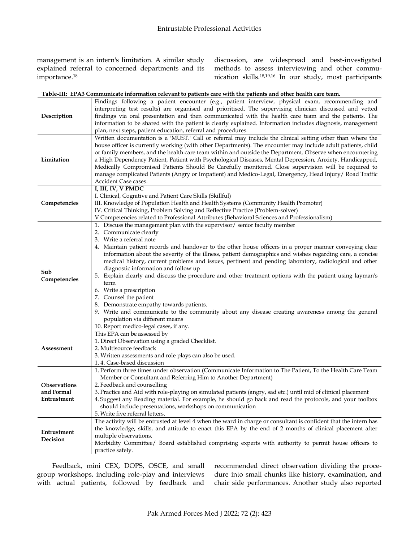management is an intern's limitation. A similar study explained referral to concerned departments and its importance.<sup>18</sup>

discussion, are widespread and best-investigated methods to assess interviewing and other communication skills.18,19,16 In our study, most participants

#### **Table-III: EPA3 Communicate information relevant to patients care with the patients and other health care team.**

| Description                               | Findings following a patient encounter (e.g., patient interview, physical exam, recommending and<br>interpreting test results) are organised and prioritised. The supervising clinician discussed and vetted<br>findings via oral presentation and then communicated with the health care team and the patients. The<br>information to be shared with the patient is clearly explained. Information includes diagnosis, management<br>plan, next steps, patient education, referral and procedures.                                                                                                                                                                                                                                                                                                                                                                                                                                                                                             |  |  |  |  |  |
|-------------------------------------------|-------------------------------------------------------------------------------------------------------------------------------------------------------------------------------------------------------------------------------------------------------------------------------------------------------------------------------------------------------------------------------------------------------------------------------------------------------------------------------------------------------------------------------------------------------------------------------------------------------------------------------------------------------------------------------------------------------------------------------------------------------------------------------------------------------------------------------------------------------------------------------------------------------------------------------------------------------------------------------------------------|--|--|--|--|--|
| Limitation                                | Written documentation is a 'MUST.' Call or referral may include the clinical setting other than where the<br>house officer is currently working (with other Departments). The encounter may include adult patients, child<br>or family members, and the health care team within and outside the Department. Observe when encountering<br>a High Dependency Patient, Patient with Psychological Diseases, Mental Depression, Anxiety. Handicapped,<br>Medically Compromised Patients Should Be Carefully monitored. Close supervision will be required to<br>manage complicated Patients (Angry or Impatient) and Medico-Legal, Emergency, Head Injury/ Road Traffic<br>Accident Case cases.                                                                                                                                                                                                                                                                                                     |  |  |  |  |  |
| Competencies                              | I, III, IV, V PMDC<br>I. Clinical, Cognitive and Patient Care Skills (Skillful)<br>III. Knowledge of Population Health and Health Systems (Community Health Promoter)<br>IV. Critical Thinking, Problem Solving and Reflective Practice (Problem-solver)<br>V Competencies related to Professional Attributes (Behavioral Sciences and Professionalism)                                                                                                                                                                                                                                                                                                                                                                                                                                                                                                                                                                                                                                         |  |  |  |  |  |
| Sub<br>Competencies                       | 1. Discuss the management plan with the supervisor/ senior faculty member<br>2. Communicate clearly<br>3. Write a referral note<br>4. Maintain patient records and handover to the other house officers in a proper manner conveying clear<br>information about the severity of the illness, patient demographics and wishes regarding care, a concise<br>medical history, current problems and issues, pertinent and pending laboratory, radiological and other<br>diagnostic information and follow up<br>5. Explain clearly and discuss the procedure and other treatment options with the patient using layman's<br>term<br>6. Write a prescription<br>7. Counsel the patient<br>8. Demonstrate empathy towards patients.<br>9. Write and communicate to the community about any disease creating awareness among the general<br>population via different means<br>10. Report medico-legal cases, if any.<br>This EPA can be assessed by<br>1. Direct Observation using a graded Checklist. |  |  |  |  |  |
| Assessment                                | 2. Multisource feedback<br>3. Written assessments and role plays can also be used.<br>1.4. Case-based discussion                                                                                                                                                                                                                                                                                                                                                                                                                                                                                                                                                                                                                                                                                                                                                                                                                                                                                |  |  |  |  |  |
| Observations<br>and Formal<br>Entrustment | 1. Perform three times under observation (Communicate Information to The Patient, To the Health Care Team<br>Member or Consultant and Referring Him to Another Department)<br>2. Feedback and counselling<br>3. Practice and Aid with role-playing on simulated patients (angry, sad etc.) until mid of clinical placement<br>4. Suggest any Reading material. For example, he should go back and read the protocols, and your toolbox<br>should include presentations, workshops on communication<br>5. Write five referral letters.                                                                                                                                                                                                                                                                                                                                                                                                                                                           |  |  |  |  |  |
| Entrustment<br>Decision                   | The activity will be entrusted at level 4 when the ward in charge or consultant is confident that the intern has<br>the knowledge, skills, and attitude to enact this EPA by the end of 2 months of clinical placement after<br>multiple observations.<br>Morbidity Committee/ Board established comprising experts with authority to permit house officers to<br>practice safely.                                                                                                                                                                                                                                                                                                                                                                                                                                                                                                                                                                                                              |  |  |  |  |  |

Feedback, mini CEX, DOPS, OSCE, and small group workshops, including role-play and interviews with actual patients, followed by feedback and recommended direct observation dividing the procedure into small chunks like history, examination, and chair side performances. Another study also reported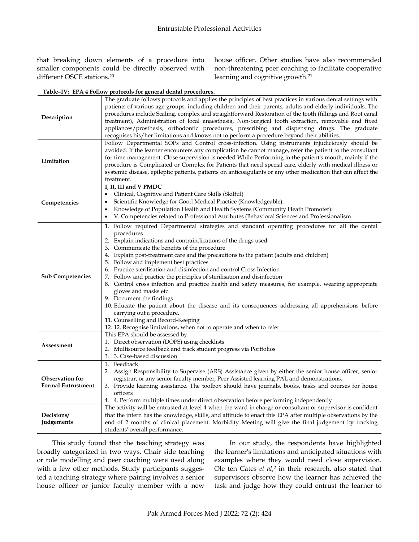that breaking down elements of a procedure into smaller components could be directly observed with different OSCE stations.<sup>20</sup>

house officer. Other studies have also recommended non-threatening peer coaching to facilitate cooperative learning and cognitive growth.<sup>21</sup>

**Table–IV: EPA 4 Follow protocols for general dental procedures.**

| Description                                         | The graduate follows protocols and applies the principles of best practices in various dental settings with<br>patients of various age groups, including children and their parents, adults and elderly individuals. The<br>procedures include Scaling, complex and straightforward Restoration of the tooth (fillings and Root canal<br>treatment), Administration of local anaesthesia, Non-Surgical tooth extraction, removable and fixed<br>appliances/prosthesis, orthodontic procedures, prescribing and dispensing drugs. The graduate<br>recognises his/her limitations and knows not to perform a procedure beyond their abilities.                                                                                                                                                                                                                                                                                               |
|-----------------------------------------------------|--------------------------------------------------------------------------------------------------------------------------------------------------------------------------------------------------------------------------------------------------------------------------------------------------------------------------------------------------------------------------------------------------------------------------------------------------------------------------------------------------------------------------------------------------------------------------------------------------------------------------------------------------------------------------------------------------------------------------------------------------------------------------------------------------------------------------------------------------------------------------------------------------------------------------------------------|
| Limitation                                          | Follow Departmental SOPs and Control cross-infection. Using instruments injudiciously should be<br>avoided. If the learner encounters any complication he cannot manage, refer the patient to the consultant<br>for time management. Close supervision is needed While Performing in the patient's mouth, mainly if the<br>procedure is Complicated or Complex for Patients that need special care, elderly with medical illness or<br>systemic disease, epileptic patients, patients on anticoagulants or any other medication that can affect the<br>treatment.                                                                                                                                                                                                                                                                                                                                                                          |
| Competencies                                        | I, II, III and V PMDC<br>Clinical, Cognitive and Patient Care Skills (Skilful)<br>Scientific Knowledge for Good Medical Practice (Knowledgeable):<br>٠<br>Knowledge of Population Health and Health Systems (Community Heath Promoter):<br>٠<br>V. Competencies related to Professional Attributes (Behavioral Sciences and Professionalism                                                                                                                                                                                                                                                                                                                                                                                                                                                                                                                                                                                                |
| <b>Sub Competencies</b>                             | 1. Follow required Departmental strategies and standard operating procedures for all the dental<br>procedures<br>2. Explain indications and contraindications of the drugs used<br>3. Communicate the benefits of the procedure<br>4. Explain post-treatment care and the precautions to the patient (adults and children)<br>5. Follow and implement best practices<br>6. Practice sterilisation and disinfection and control Cross Infection<br>7. Follow and practice the principles of sterilisation and disinfection<br>Control cross infection and practice health and safety measures, for example, wearing appropriate<br>8.<br>gloves and masks etc.<br>9. Document the findings<br>10. Educate the patient about the disease and its consequences addressing all apprehensions before<br>carrying out a procedure.<br>11. Counselling and Record-Keeping<br>12. 12. Recognise limitations, when not to operate and when to refer |
| Assessment                                          | This EPA should be assessed by<br>1. Direct observation (DOPS) using checklists<br>Multisource feedback and track student progress via Portfolios<br>2.<br>3. 3. Case-based discussion                                                                                                                                                                                                                                                                                                                                                                                                                                                                                                                                                                                                                                                                                                                                                     |
| <b>Observation for</b><br><b>Formal Entrustment</b> | 1. Feedback<br>2. Assign Responsibility to Supervise (ARS) Assistance given by either the senior house officer, senior<br>registrar, or any senior faculty member, Peer Assisted learning PAL and demonstrations.<br>3. Provide learning assistance. The toolbox should have journals, books, tasks and courses for house<br>officers<br>4. 4. Perform multiple times under direct observation before performing independently                                                                                                                                                                                                                                                                                                                                                                                                                                                                                                             |
| Decisions/<br>Judgements                            | The activity will be entrusted at level 4 when the ward in charge or consultant or supervisor is confident<br>that the intern has the knowledge, skills, and attitude to enact this EPA after multiple observations by the<br>end of 2 months of clinical placement. Morbidity Meeting will give the final judgement by tracking<br>students' overall performance.                                                                                                                                                                                                                                                                                                                                                                                                                                                                                                                                                                         |

This study found that the teaching strategy was broadly categorized in two ways. Chair side teaching or role modelling and peer coaching were used along with a few other methods. Study participants suggested a teaching strategy where pairing involves a senior house officer or junior faculty member with a new

In our study, the respondents have highlighted the learner's limitations and anticipated situations with examples where they would need close supervision. Ole ten Cates *et al*, 2 in their research, also stated that supervisors observe how the learner has achieved the task and judge how they could entrust the learner to